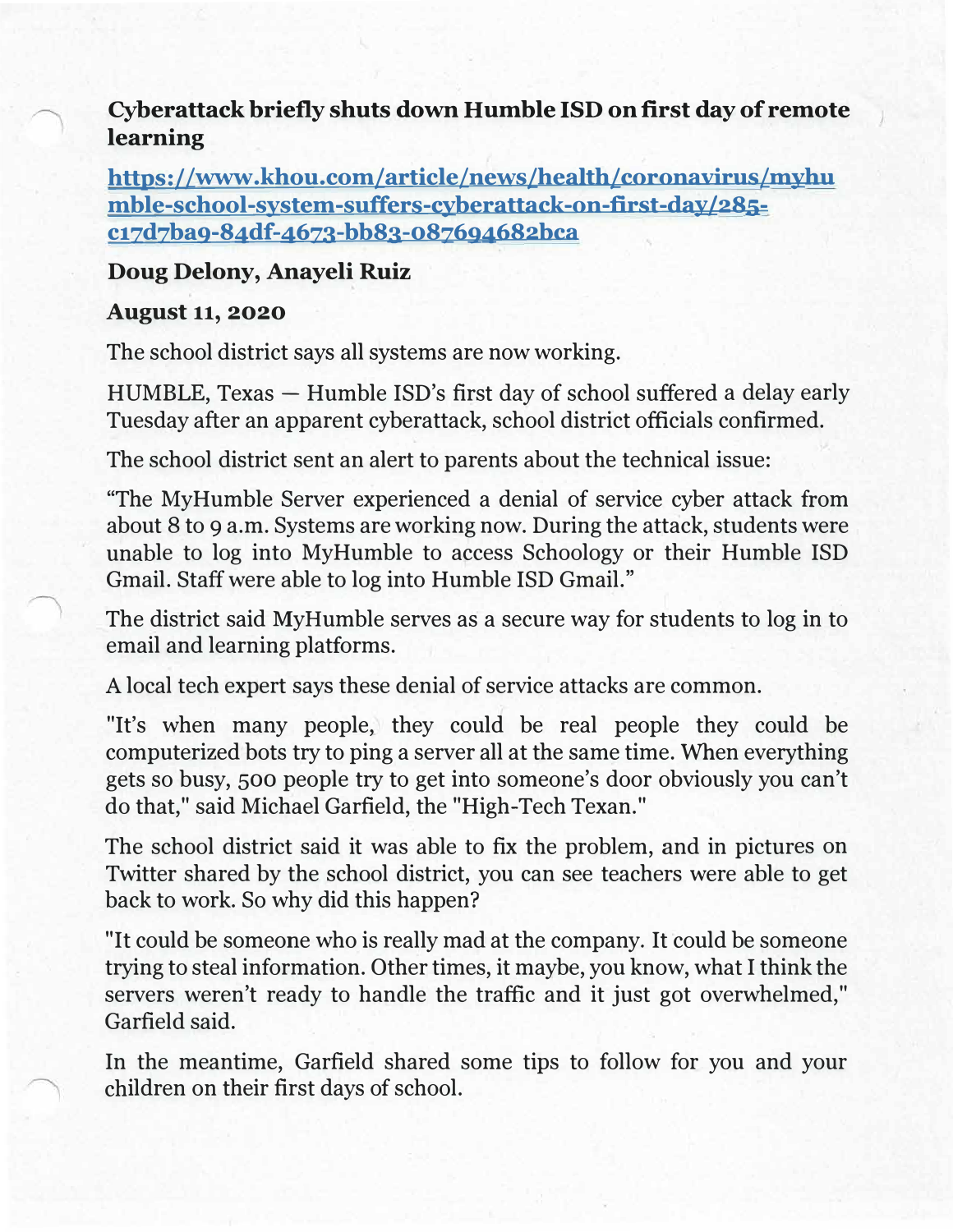**Cyberattack briefly shuts down Humble ISD on first day of remote learning** 

**https://www .khou.com/article/news/health/coronavirus/myhu mble-school-system-suffers-cyberattack-on-first-day/285 c17d7ba9-84df-4673-bb83-087694682bca** 

## **Doug Delony, Anayeli Ruiz**

## **August 11, 2020**

The school district says all systems are now working.

 $HUMBLE, Texas - Humble ISD's first day of school suffered a delay early$ Tuesday after an apparent cyberattack, school district officials confirmed.

The school district sent an alert to parents about the technical issue:

"The MyHumble Server experienced a denial of service cyber attack from about 8 to 9 a.m. Systems are working now. During the attack, students were unable to log into MyHumble to access Schoology or their Humble ISD Gmail. Staff were able to log into Humble ISD Gmail."

The district said MyHumble serves as a secure way for students to log in to email and learning platforms.

A local tech expert says these denial of service attacks are common.

"It's when many people, they could be real people they could be computerized bots try to ping a server all at the same time. When everything gets so busy, 500 people try to get into someone's door obviously you can't do that," said Michael Garfield, the "High-Tech Texan."

The school district said it was able to fix the problem, and in pictures on Twitter shared by the school district, you can see teachers were able to get back to work. So why did this happen?

"It could be someone who is really mad at the company. It could be someone trying to steal information. Other times, it maybe, you know, what I think the servers weren't ready to handle the traffic and it just got overwhelmed," Garfield said.

In the meantime, Garfield shared some tips to follow for you and your children on their first days of school.